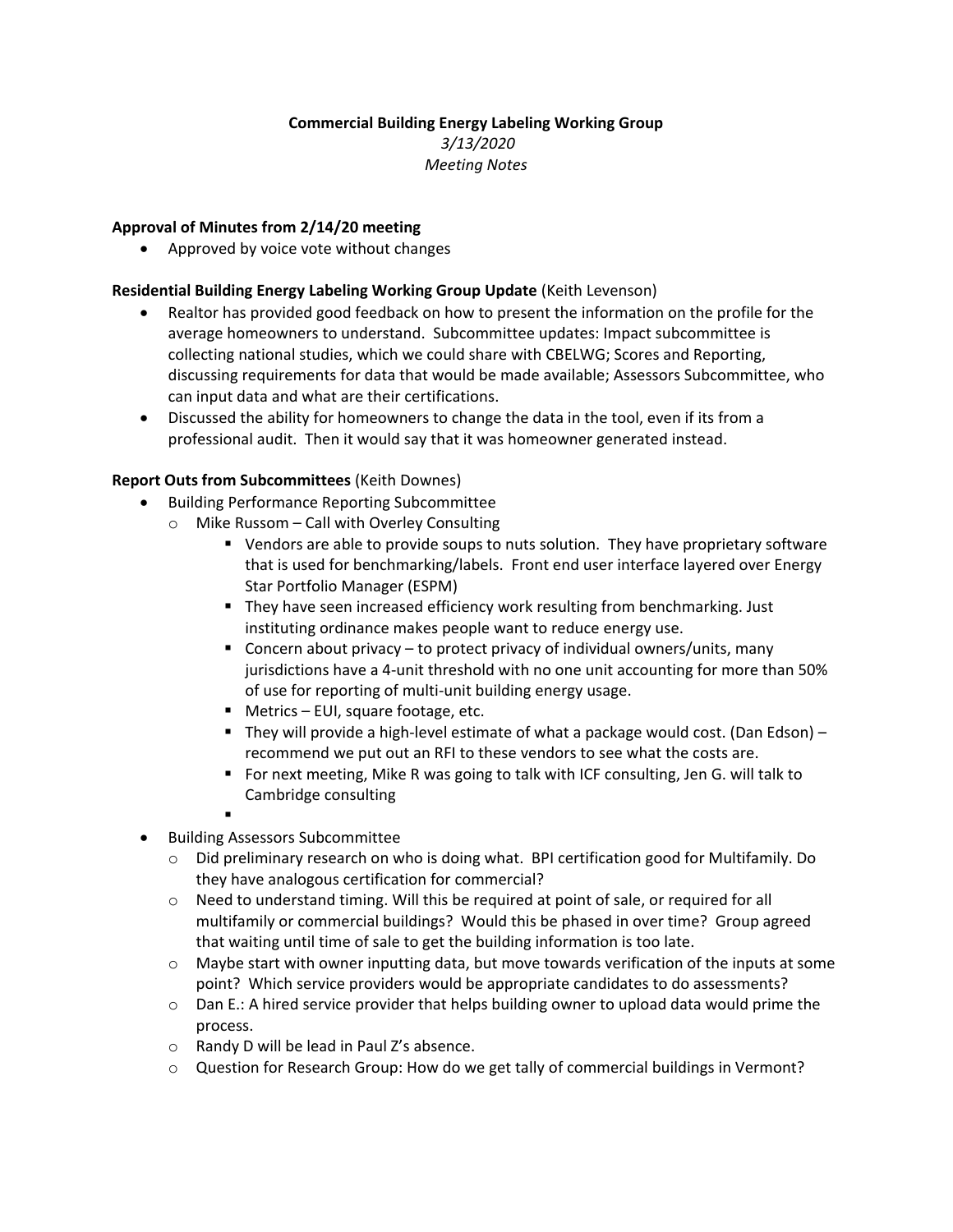# **Commercial Building Energy Labeling Working Group**

*3/13/2020 Meeting Notes*

## **Approval of Minutes from 2/14/20 meeting**

• Approved by voice vote without changes

### **Residential Building Energy Labeling Working Group Update** (Keith Levenson)

- Realtor has provided good feedback on how to present the information on the profile for the average homeowners to understand. Subcommittee updates: Impact subcommittee is collecting national studies, which we could share with CBELWG; Scores and Reporting, discussing requirements for data that would be made available; Assessors Subcommittee, who can input data and what are their certifications.
- Discussed the ability for homeowners to change the data in the tool, even if its from a professional audit. Then it would say that it was homeowner generated instead.

### **Report Outs from Subcommittees** (Keith Downes)

- Building Performance Reporting Subcommittee
	- o Mike Russom Call with Overley Consulting
		- Vendors are able to provide soups to nuts solution. They have proprietary software that is used for benchmarking/labels. Front end user interface layered over Energy Star Portfolio Manager (ESPM)
		- They have seen increased efficiency work resulting from benchmarking. Just instituting ordinance makes people want to reduce energy use.
		- Concern about privacy to protect privacy of individual owners/units, many jurisdictions have a 4-unit threshold with no one unit accounting for more than 50% of use for reporting of multi-unit building energy usage.
		- Metrics EUI, square footage, etc.
		- **•** They will provide a high-level estimate of what a package would cost. (Dan Edson) recommend we put out an RFI to these vendors to see what the costs are.
		- For next meeting, Mike R was going to talk with ICF consulting, Jen G. will talk to Cambridge consulting
		- ▪
- Building Assessors Subcommittee
	- $\circ$  Did preliminary research on who is doing what. BPI certification good for Multifamily. Do they have analogous certification for commercial?
	- o Need to understand timing. Will this be required at point of sale, or required for all multifamily or commercial buildings? Would this be phased in over time? Group agreed that waiting until time of sale to get the building information is too late.
	- $\circ$  Maybe start with owner inputting data, but move towards verification of the inputs at some point? Which service providers would be appropriate candidates to do assessments?
	- $\circ$  Dan E.: A hired service provider that helps building owner to upload data would prime the process.
	- o Randy D will be lead in Paul Z's absence.
	- o Question for Research Group: How do we get tally of commercial buildings in Vermont?